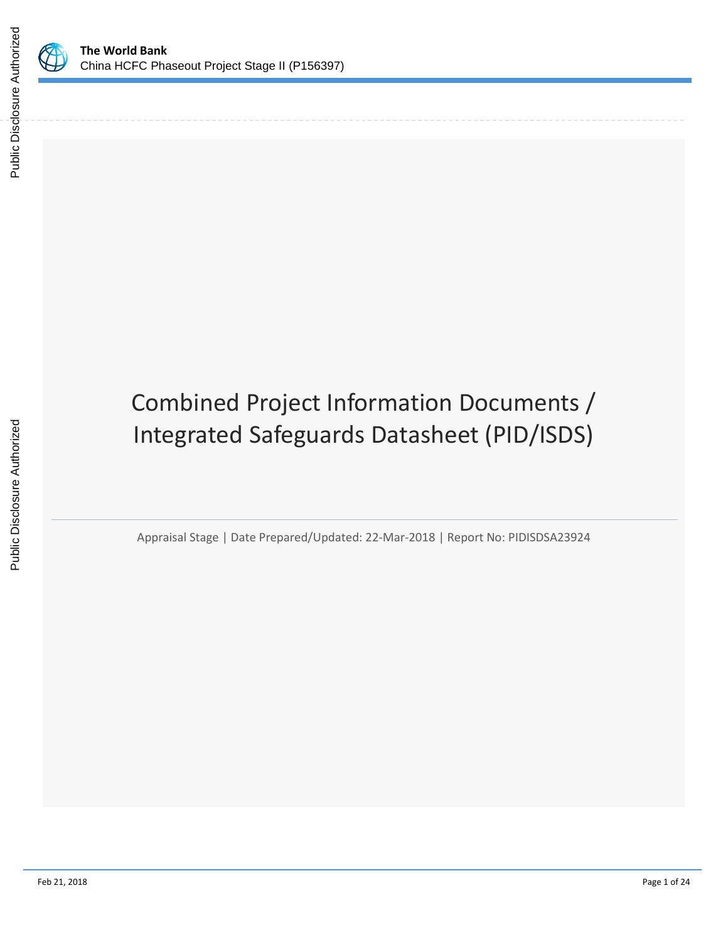

# Combined Project Information Documents / Integrated Safeguards Datasheet (PID/ISDS)

Appraisal Stage | Date Prepared/Updated: 22-Mar-2018 | Report No: PIDISDSA23924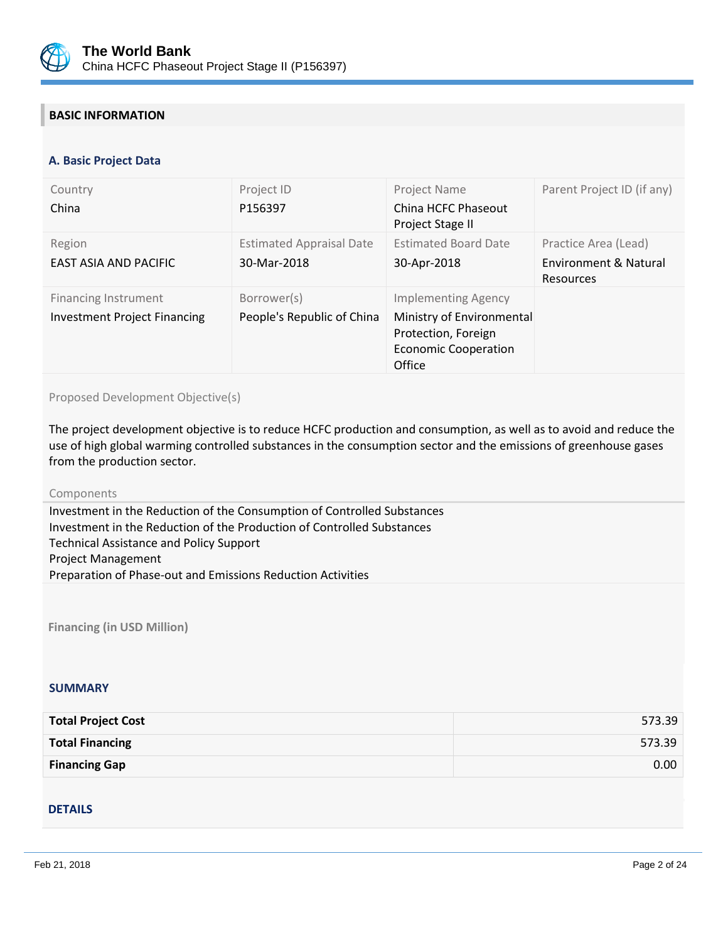

# **BASIC INFORMATION**

#### **OPS\_TABLE\_BASIC\_DATA A. Basic Project Data**

| Country<br>China                                                   | Project ID<br>P156397                          | Project Name<br>China HCFC Phaseout<br>Project Stage II                                                                 | Parent Project ID (if any)                                 |
|--------------------------------------------------------------------|------------------------------------------------|-------------------------------------------------------------------------------------------------------------------------|------------------------------------------------------------|
| Region<br><b>EAST ASIA AND PACIFIC</b>                             | <b>Estimated Appraisal Date</b><br>30-Mar-2018 | <b>Estimated Board Date</b><br>30-Apr-2018                                                                              | Practice Area (Lead)<br>Environment & Natural<br>Resources |
| <b>Financing Instrument</b><br><b>Investment Project Financing</b> | Borrower(s)<br>People's Republic of China      | <b>Implementing Agency</b><br>Ministry of Environmental<br>Protection, Foreign<br><b>Economic Cooperation</b><br>Office |                                                            |

Proposed Development Objective(s)

The project development objective is to reduce HCFC production and consumption, as well as to avoid and reduce the use of high global warming controlled substances in the consumption sector and the emissions of greenhouse gases from the production sector.

#### Components

Investment in the Reduction of the Consumption of Controlled Substances Investment in the Reduction of the Production of Controlled Substances Technical Assistance and Policy Support Project Management Preparation of Phase-out and Emissions Reduction Activities

**Financing (in USD Million)**

#### **SUMMARY**

| <b>Total Project Cost</b> | 573.39 |
|---------------------------|--------|
| <b>Total Financing</b>    | 573.39 |
| <b>Financing Gap</b>      | 0.00   |

#### DETAILS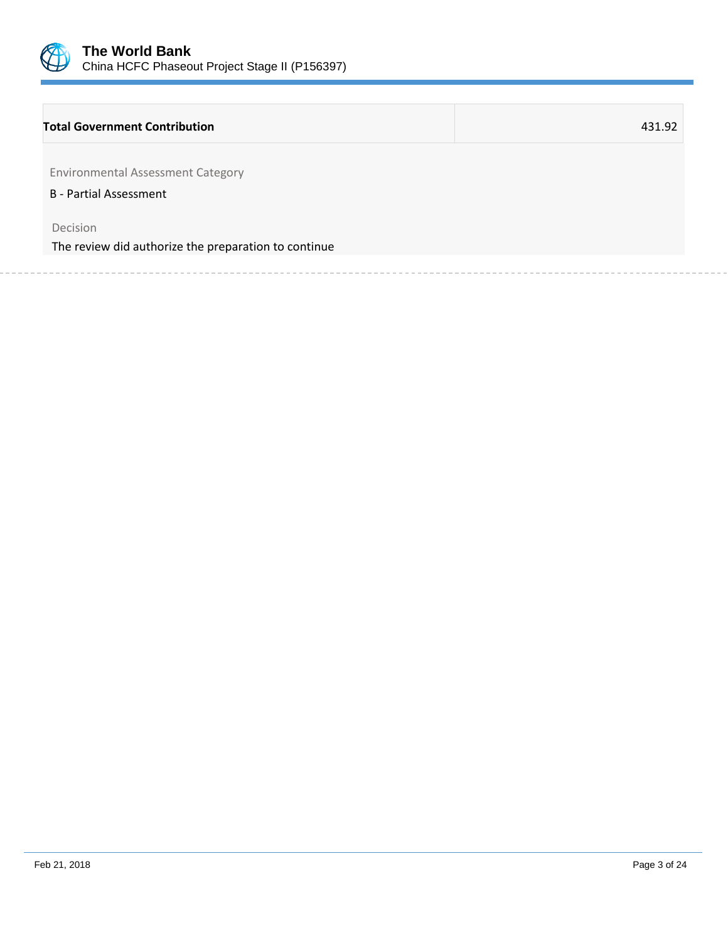

## **Total Government Contribution** 431.92

Environmental Assessment Category

B - Partial Assessment

Decision

The review did authorize the preparation to continue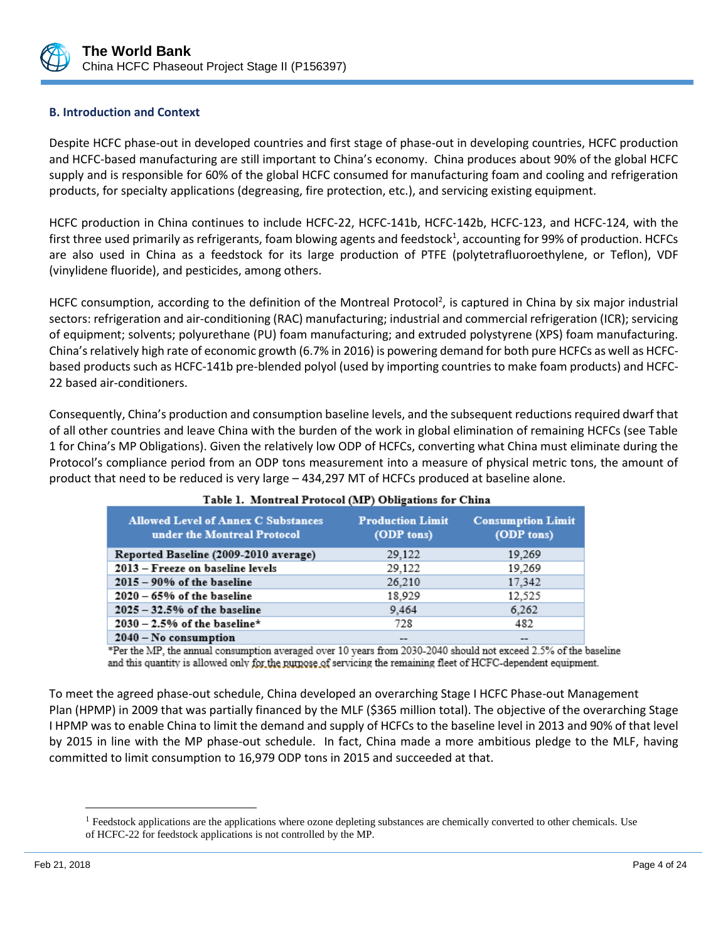

# **B. Introduction and Context**

Despite HCFC phase-out in developed countries and first stage of phase-out in developing countries, HCFC production and HCFC-based manufacturing are still important to China's economy. China produces about 90% of the global HCFC supply and is responsible for 60% of the global HCFC consumed for manufacturing foam and cooling and refrigeration products, for specialty applications (degreasing, fire protection, etc.), and servicing existing equipment.

HCFC production in China continues to include HCFC-22, HCFC-141b, HCFC-142b, HCFC-123, and HCFC-124, with the first three used primarily as refrigerants, foam blowing agents and feedstock<sup>1</sup>, accounting for 99% of production. HCFCs are also used in China as a feedstock for its large production of PTFE (polytetrafluoroethylene, or Teflon), VDF (vinylidene fluoride), and pesticides, among others.

HCFC consumption, according to the definition of the Montreal Protocol<sup>2</sup>, is captured in China by six major industrial sectors: refrigeration and air-conditioning (RAC) manufacturing; industrial and commercial refrigeration (ICR); servicing of equipment; solvents; polyurethane (PU) foam manufacturing; and extruded polystyrene (XPS) foam manufacturing. China's relatively high rate of economic growth (6.7% in 2016) is powering demand for both pure HCFCs as well as HCFCbased products such as HCFC-141b pre-blended polyol (used by importing countries to make foam products) and HCFC-22 based air-conditioners.

Consequently, China's production and consumption baseline levels, and the subsequent reductions required dwarf that of all other countries and leave China with the burden of the work in global elimination of remaining HCFCs (see Table 1 for China's MP Obligations). Given the relatively low ODP of HCFCs, converting what China must eliminate during the Protocol's compliance period from an ODP tons measurement into a measure of physical metric tons, the amount of product that need to be reduced is very large – 434,297 MT of HCFCs produced at baseline alone.

| $\sim$ more at chaonic can a rotover (man ) o waightness for channel      |                                       |                                        |  |  |
|---------------------------------------------------------------------------|---------------------------------------|----------------------------------------|--|--|
| <b>Allowed Level of Annex C Substances</b><br>under the Montreal Protocol | <b>Production Limit</b><br>(ODP tons) | <b>Consumption Limit</b><br>(ODP tons) |  |  |
| Reported Baseline (2009-2010 average)                                     | 29,122                                | 19,269                                 |  |  |
| 2013 – Freeze on baseline levels                                          | 29,122                                | 19,269                                 |  |  |
| $2015 - 90\%$ of the baseline                                             | 26,210                                | 17,342                                 |  |  |
| $2020 - 65%$ of the baseline                                              | 18,929                                | 12,525                                 |  |  |
| $2025 - 32.5%$ of the baseline                                            | 9.464                                 | 6,262                                  |  |  |
| $2030 - 2.5%$ of the baseline*                                            | 728                                   | 482                                    |  |  |
| $2040 - No constant$                                                      | --                                    |                                        |  |  |

#### Table 1. Montreal Protocol (MP) Obligations for China

\*Per the MP, the annual consumption averaged over 10 years from 2030-2040 should not exceed 2.5% of the baseline and this quantity is allowed only for the numose of servicing the remaining fleet of HCFC-dependent equipment.

To meet the agreed phase-out schedule, China developed an overarching Stage I HCFC Phase-out Management Plan (HPMP) in 2009 that was partially financed by the MLF (\$365 million total). The objective of the overarching Stage I HPMP was to enable China to limit the demand and supply of HCFCs to the baseline level in 2013 and 90% of that level by 2015 in line with the MP phase-out schedule. In fact, China made a more ambitious pledge to the MLF, having committed to limit consumption to 16,979 ODP tons in 2015 and succeeded at that.

 $\overline{\phantom{a}}$ 

<sup>&</sup>lt;sup>1</sup> Feedstock applications are the applications where ozone depleting substances are chemically converted to other chemicals. Use of HCFC-22 for feedstock applications is not controlled by the MP.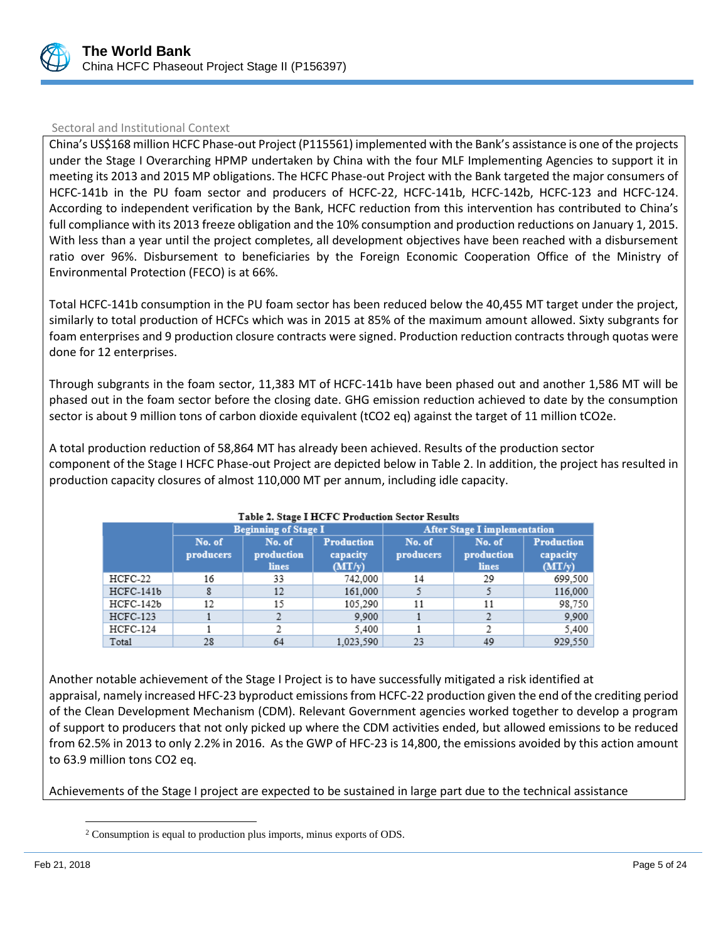

## Sectoral and Institutional Context

China's US\$168 million HCFC Phase-out Project (P115561) implemented with the Bank's assistance is one of the projects under the Stage I Overarching HPMP undertaken by China with the four MLF Implementing Agencies to support it in meeting its 2013 and 2015 MP obligations. The HCFC Phase-out Project with the Bank targeted the major consumers of HCFC-141b in the PU foam sector and producers of HCFC-22, HCFC-141b, HCFC-142b, HCFC-123 and HCFC-124. According to independent verification by the Bank, HCFC reduction from this intervention has contributed to China's full compliance with its 2013 freeze obligation and the 10% consumption and production reductions on January 1, 2015. With less than a year until the project completes, all development objectives have been reached with a disbursement ratio over 96%. Disbursement to beneficiaries by the Foreign Economic Cooperation Office of the Ministry of Environmental Protection (FECO) is at 66%.

Total HCFC-141b consumption in the PU foam sector has been reduced below the 40,455 MT target under the project, similarly to total production of HCFCs which was in 2015 at 85% of the maximum amount allowed. Sixty subgrants for foam enterprises and 9 production closure contracts were signed. Production reduction contracts through quotas were done for 12 enterprises.

Through subgrants in the foam sector, 11,383 MT of HCFC-141b have been phased out and another 1,586 MT will be phased out in the foam sector before the closing date. GHG emission reduction achieved to date by the consumption sector is about 9 million tons of carbon dioxide equivalent (tCO2 eq) against the target of 11 million tCO2e.

A total production reduction of 58,864 MT has already been achieved. Results of the production sector component of the Stage I HCFC Phase-out Project are depicted below in Table 2. In addition, the project has resulted in production capacity closures of almost 110,000 MT per annum, including idle capacity.

|                 | <b>Beginning of Stage I</b> |                               |                                         |                     | <b>After Stage I implementation</b> |                                         |
|-----------------|-----------------------------|-------------------------------|-----------------------------------------|---------------------|-------------------------------------|-----------------------------------------|
|                 | No. of<br>producers         | No. of<br>production<br>lines | <b>Production</b><br>capacity<br>(MT/v) | No. of<br>producers | No. of<br>production<br>lines       | <b>Production</b><br>capacity<br>(MT/v) |
| HCFC-22         | 16                          | 33                            | 742.000                                 | 14                  | 29                                  | 699,500                                 |
| $HCFC-141b$     |                             | 12                            | 161,000                                 |                     |                                     | 116,000                                 |
| HCFC-142b       | 12                          | 15                            | 105,290                                 | 11                  | 11                                  | 98,750                                  |
| <b>HCFC-123</b> |                             |                               | 9.900                                   |                     |                                     | 9.900                                   |
| HCFC-124        |                             |                               | 5,400                                   |                     |                                     | 5,400                                   |
| Total           | 28                          | 64                            | 1.023.590                               | 23                  | 49                                  | 929.550                                 |

#### Table 2. Stage I HCFC Production Sector Results

Another notable achievement of the Stage I Project is to have successfully mitigated a risk identified at appraisal, namely increased HFC-23 byproduct emissions from HCFC-22 production given the end of the crediting period of the Clean Development Mechanism (CDM). Relevant Government agencies worked together to develop a program of support to producers that not only picked up where the CDM activities ended, but allowed emissions to be reduced from 62.5% in 2013 to only 2.2% in 2016. As the GWP of HFC-23 is 14,800, the emissions avoided by this action amount to 63.9 million tons CO2 eq.

Achievements of the Stage I project are expected to be sustained in large part due to the technical assistance

l

<sup>2</sup> Consumption is equal to production plus imports, minus exports of ODS.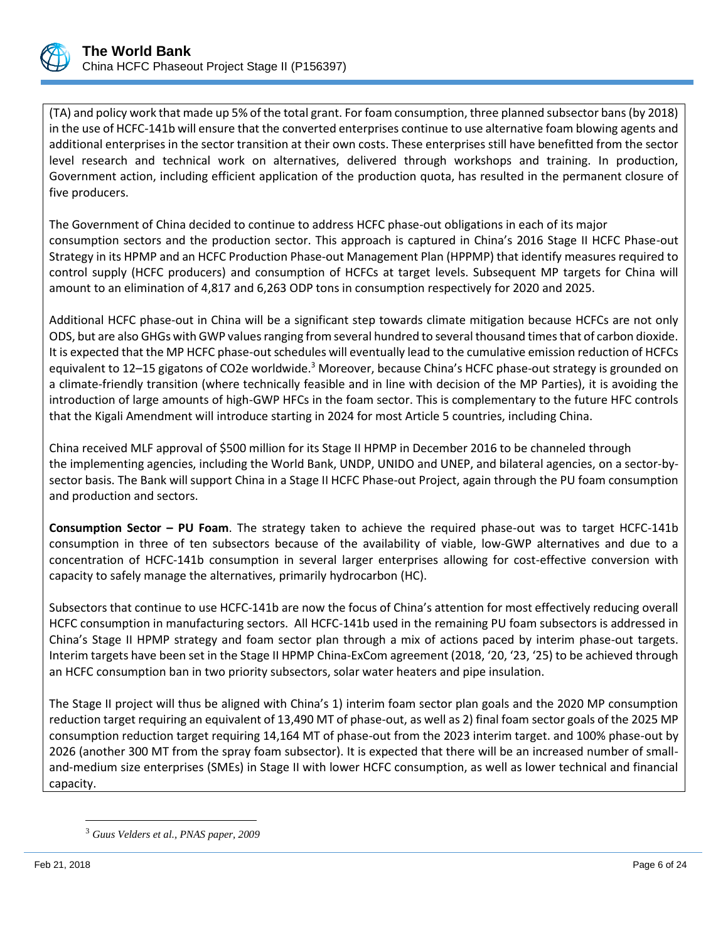

(TA) and policy work that made up 5% of the total grant. For foam consumption, three planned subsector bans (by 2018) in the use of HCFC-141b will ensure that the converted enterprises continue to use alternative foam blowing agents and additional enterprises in the sector transition at their own costs. These enterprises still have benefitted from the sector level research and technical work on alternatives, delivered through workshops and training. In production, Government action, including efficient application of the production quota, has resulted in the permanent closure of five producers.

The Government of China decided to continue to address HCFC phase-out obligations in each of its major consumption sectors and the production sector. This approach is captured in China's 2016 Stage II HCFC Phase-out Strategy in its HPMP and an HCFC Production Phase-out Management Plan (HPPMP) that identify measures required to control supply (HCFC producers) and consumption of HCFCs at target levels. Subsequent MP targets for China will amount to an elimination of 4,817 and 6,263 ODP tons in consumption respectively for 2020 and 2025.

Additional HCFC phase-out in China will be a significant step towards climate mitigation because HCFCs are not only ODS, but are also GHGs with GWP values ranging from several hundred to several thousand times that of carbon dioxide. It is expected that the MP HCFC phase-out schedules will eventually lead to the cumulative emission reduction of HCFCs equivalent to 12–15 gigatons of CO2e worldwide.<sup>3</sup> Moreover, because China's HCFC phase-out strategy is grounded on a climate-friendly transition (where technically feasible and in line with decision of the MP Parties), it is avoiding the introduction of large amounts of high-GWP HFCs in the foam sector. This is complementary to the future HFC controls that the Kigali Amendment will introduce starting in 2024 for most Article 5 countries, including China.

China received MLF approval of \$500 million for its Stage II HPMP in December 2016 to be channeled through the implementing agencies, including the World Bank, UNDP, UNIDO and UNEP, and bilateral agencies, on a sector-bysector basis. The Bank will support China in a Stage II HCFC Phase-out Project, again through the PU foam consumption and production and sectors.

**Consumption Sector – PU Foam**. The strategy taken to achieve the required phase-out was to target HCFC-141b consumption in three of ten subsectors because of the availability of viable, low-GWP alternatives and due to a concentration of HCFC-141b consumption in several larger enterprises allowing for cost-effective conversion with capacity to safely manage the alternatives, primarily hydrocarbon (HC).

Subsectors that continue to use HCFC-141b are now the focus of China's attention for most effectively reducing overall HCFC consumption in manufacturing sectors. All HCFC-141b used in the remaining PU foam subsectors is addressed in China's Stage II HPMP strategy and foam sector plan through a mix of actions paced by interim phase-out targets. Interim targets have been set in the Stage II HPMP China-ExCom agreement (2018, '20, '23, '25) to be achieved through an HCFC consumption ban in two priority subsectors, solar water heaters and pipe insulation.

The Stage II project will thus be aligned with China's 1) interim foam sector plan goals and the 2020 MP consumption reduction target requiring an equivalent of 13,490 MT of phase-out, as well as 2) final foam sector goals of the 2025 MP consumption reduction target requiring 14,164 MT of phase-out from the 2023 interim target. and 100% phase-out by 2026 (another 300 MT from the spray foam subsector). It is expected that there will be an increased number of smalland-medium size enterprises (SMEs) in Stage II with lower HCFC consumption, as well as lower technical and financial capacity.

 $\overline{a}$ 

<sup>3</sup> *Guus Velders et al., PNAS paper, 2009*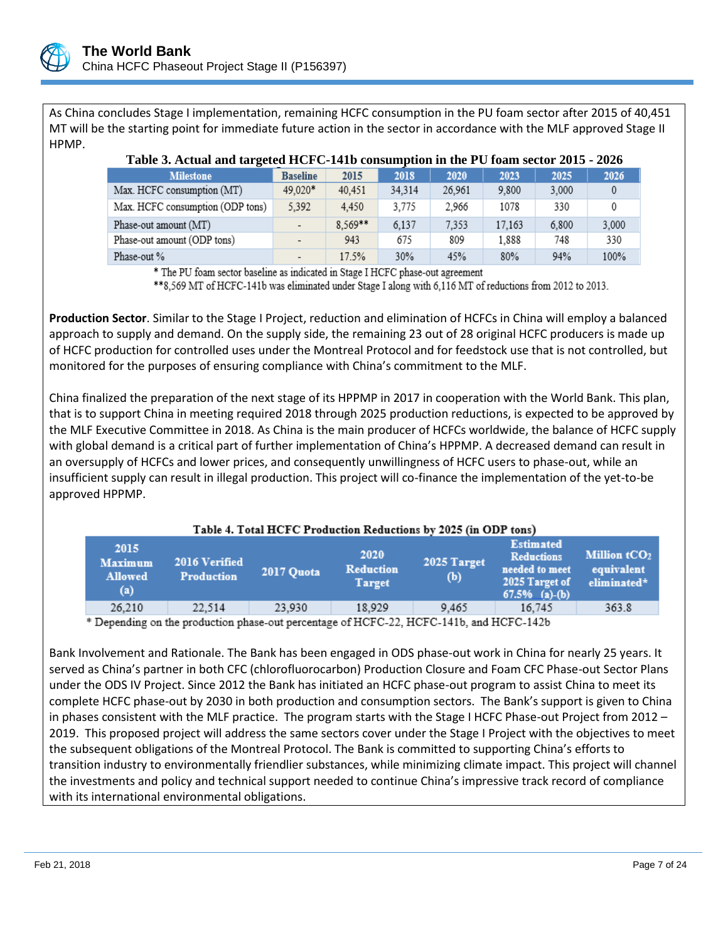

As China concludes Stage I implementation, remaining HCFC consumption in the PU foam sector after 2015 of 40,451 MT will be the starting point for immediate future action in the sector in accordance with the MLF approved Stage II HPMP.

| Those of Hornin man and goven HOT $\sigma$ T HD companifyment in the T $\sigma$ Temm because 2016 |                 |         |        |        |        |       |       |
|---------------------------------------------------------------------------------------------------|-----------------|---------|--------|--------|--------|-------|-------|
| <b>Milestone</b>                                                                                  | <b>Baseline</b> | 2015    | 2018   | 2020   | 2023   | 2025  | 2026  |
| Max. HCFC consumption (MT)                                                                        | 49,020*         | 40.451  | 34.314 | 26.961 | 9.800  | 3,000 |       |
| Max. HCFC consumption (ODP tons)                                                                  | 5,392           | 4.450   | 3.775  | 2.966  | 1078   | 330   | 0     |
| Phase-out amount (MT)                                                                             |                 | 8.569** | 6,137  | 7,353  | 17,163 | 6,800 | 3,000 |
| Phase-out amount (ODP tons)                                                                       |                 | 943     | 675    | 809    | 1.888  | 748   | 330   |
| Phase-out %                                                                                       |                 | 17.5%   | 30%    | 45%    | 80%    | 94%   | 100%  |

# **Table 3. Actual and targeted HCFC-141b consumption in the PU foam sector 2015 - 2026**

\* The PU foam sector baseline as indicated in Stage I HCFC phase-out agreement

\*\*8,569 MT of HCFC-141b was eliminated under Stage I along with 6,116 MT of reductions from 2012 to 2013.

**Production Sector**. Similar to the Stage I Project, reduction and elimination of HCFCs in China will employ a balanced approach to supply and demand. On the supply side, the remaining 23 out of 28 original HCFC producers is made up of HCFC production for controlled uses under the Montreal Protocol and for feedstock use that is not controlled, but monitored for the purposes of ensuring compliance with China's commitment to the MLF.

China finalized the preparation of the next stage of its HPPMP in 2017 in cooperation with the World Bank. This plan, that is to support China in meeting required 2018 through 2025 production reductions, is expected to be approved by the MLF Executive Committee in 2018. As China is the main producer of HCFCs worldwide, the balance of HCFC supply with global demand is a critical part of further implementation of China's HPPMP. A decreased demand can result in an oversupply of HCFCs and lower prices, and consequently unwillingness of HCFC users to phase-out, while an insufficient supply can result in illegal production. This project will co-finance the implementation of the yet-to-be approved HPPMP.

| Table 4. Total HCFC Production Reductions by 2025 (in ODP tons) |                                    |            |                                           |                    |                                                                                               |                                             |
|-----------------------------------------------------------------|------------------------------------|------------|-------------------------------------------|--------------------|-----------------------------------------------------------------------------------------------|---------------------------------------------|
| 2015<br><b>Maximum</b><br><b>Allowed</b><br>(a)                 | 2016 Verified<br><b>Production</b> | 2017 Quota | 2020<br><b>Reduction</b><br><b>Target</b> | 2025 Target<br>(b) | <b>Estimated</b><br><b>Reductions</b><br>needed to meet<br>2025 Target of<br>$67.5\%$ (a)-(b) | Million $tCO2$<br>equivalent<br>eliminated* |
| 26.210                                                          | 22.514                             | 23.930     | 18.929                                    | 9.465              | 16.745                                                                                        | 363.8                                       |
|                                                                 |                                    |            |                                           |                    |                                                                                               |                                             |

Depending on the production phase-out percentage of HCFC-22, HCFC-141b, and HCFC-142b

Bank Involvement and Rationale. The Bank has been engaged in ODS phase-out work in China for nearly 25 years. It served as China's partner in both CFC (chlorofluorocarbon) Production Closure and Foam CFC Phase-out Sector Plans under the ODS IV Project. Since 2012 the Bank has initiated an HCFC phase-out program to assist China to meet its complete HCFC phase-out by 2030 in both production and consumption sectors. The Bank's support is given to China in phases consistent with the MLF practice. The program starts with the Stage I HCFC Phase-out Project from 2012 – 2019. This proposed project will address the same sectors cover under the Stage I Project with the objectives to meet the subsequent obligations of the Montreal Protocol. The Bank is committed to supporting China's efforts to transition industry to environmentally friendlier substances, while minimizing climate impact. This project will channel the investments and policy and technical support needed to continue China's impressive track record of compliance with its international environmental obligations.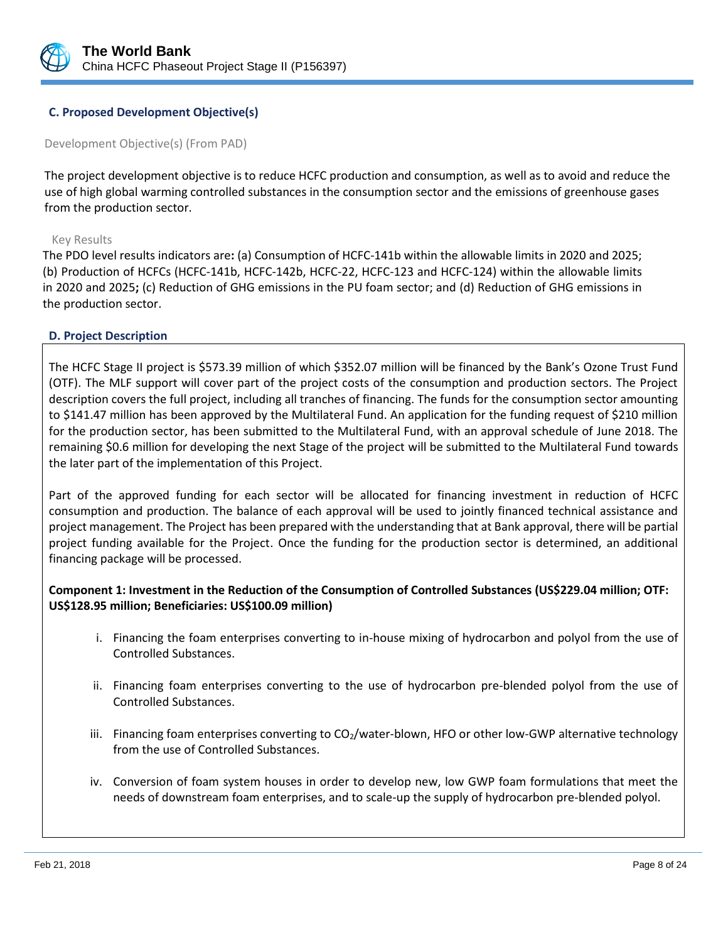

## **C. Proposed Development Objective(s)**

Development Objective(s) (From PAD)

The project development objective is to reduce HCFC production and consumption, as well as to avoid and reduce the use of high global warming controlled substances in the consumption sector and the emissions of greenhouse gases from the production sector.

#### Key Results

The PDO level results indicators are**:** (a) Consumption of HCFC-141b within the allowable limits in 2020 and 2025; (b) Production of HCFCs (HCFC-141b, HCFC-142b, HCFC-22, HCFC-123 and HCFC-124) within the allowable limits in 2020 and 2025**;** (c) Reduction of GHG emissions in the PU foam sector; and (d) Reduction of GHG emissions in the production sector.

## **D. Project Description**

The HCFC Stage II project is \$573.39 million of which \$352.07 million will be financed by the Bank's Ozone Trust Fund (OTF). The MLF support will cover part of the project costs of the consumption and production sectors. The Project description covers the full project, including all tranches of financing. The funds for the consumption sector amounting to \$141.47 million has been approved by the Multilateral Fund. An application for the funding request of \$210 million for the production sector, has been submitted to the Multilateral Fund, with an approval schedule of June 2018. The remaining \$0.6 million for developing the next Stage of the project will be submitted to the Multilateral Fund towards the later part of the implementation of this Project.

Part of the approved funding for each sector will be allocated for financing investment in reduction of HCFC consumption and production. The balance of each approval will be used to jointly financed technical assistance and project management. The Project has been prepared with the understanding that at Bank approval, there will be partial project funding available for the Project. Once the funding for the production sector is determined, an additional financing package will be processed.

**Component 1: Investment in the Reduction of the Consumption of Controlled Substances (US\$229.04 million; OTF: US\$128.95 million; Beneficiaries: US\$100.09 million)**

- i. Financing the foam enterprises converting to in-house mixing of hydrocarbon and polyol from the use of Controlled Substances.
- ii. Financing foam enterprises converting to the use of hydrocarbon pre-blended polyol from the use of Controlled Substances.
- iii. Financing foam enterprises converting to CO<sub>2</sub>/water-blown, HFO or other low-GWP alternative technology from the use of Controlled Substances.
- iv. Conversion of foam system houses in order to develop new, low GWP foam formulations that meet the needs of downstream foam enterprises, and to scale-up the supply of hydrocarbon pre-blended polyol.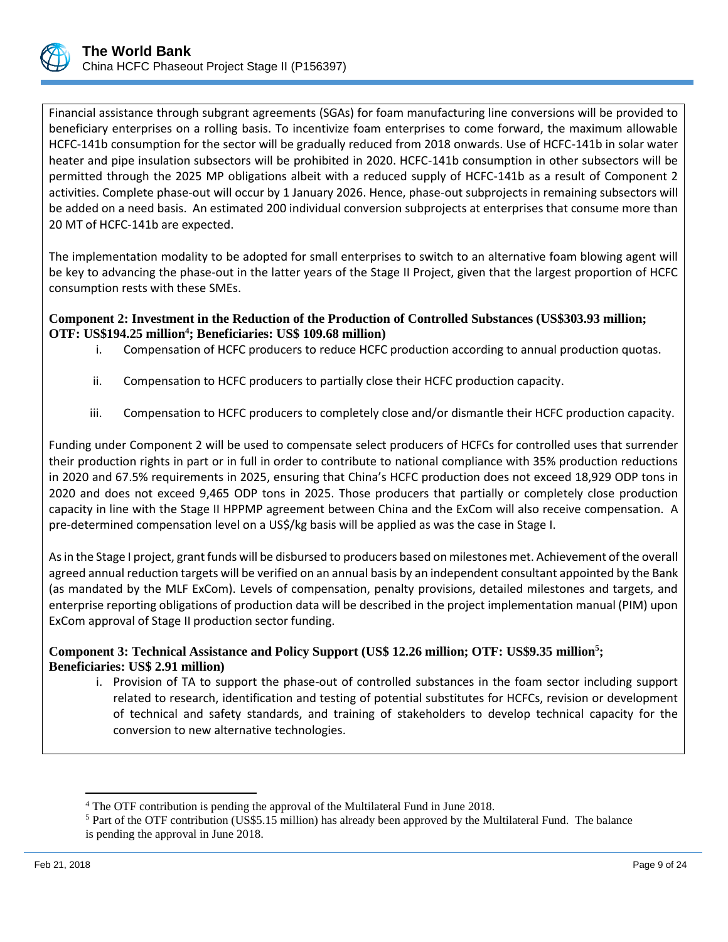

Financial assistance through subgrant agreements (SGAs) for foam manufacturing line conversions will be provided to beneficiary enterprises on a rolling basis. To incentivize foam enterprises to come forward, the maximum allowable HCFC-141b consumption for the sector will be gradually reduced from 2018 onwards. Use of HCFC-141b in solar water heater and pipe insulation subsectors will be prohibited in 2020. HCFC-141b consumption in other subsectors will be permitted through the 2025 MP obligations albeit with a reduced supply of HCFC-141b as a result of Component 2 activities. Complete phase-out will occur by 1 January 2026. Hence, phase-out subprojects in remaining subsectors will be added on a need basis. An estimated 200 individual conversion subprojects at enterprises that consume more than 20 MT of HCFC-141b are expected.

The implementation modality to be adopted for small enterprises to switch to an alternative foam blowing agent will be key to advancing the phase-out in the latter years of the Stage II Project, given that the largest proportion of HCFC consumption rests with these SMEs.

# **Component 2: Investment in the Reduction of the Production of Controlled Substances (US\$303.93 million; OTF: US\$194.25 million<sup>4</sup> ; Beneficiaries: US\$ 109.68 million)**

- i. Compensation of HCFC producers to reduce HCFC production according to annual production quotas.
- ii. Compensation to HCFC producers to partially close their HCFC production capacity.
- iii. Compensation to HCFC producers to completely close and/or dismantle their HCFC production capacity.

Funding under Component 2 will be used to compensate select producers of HCFCs for controlled uses that surrender their production rights in part or in full in order to contribute to national compliance with 35% production reductions in 2020 and 67.5% requirements in 2025, ensuring that China's HCFC production does not exceed 18,929 ODP tons in 2020 and does not exceed 9,465 ODP tons in 2025. Those producers that partially or completely close production capacity in line with the Stage II HPPMP agreement between China and the ExCom will also receive compensation. A pre-determined compensation level on a US\$/kg basis will be applied as was the case in Stage I.

As in the Stage I project, grant funds will be disbursed to producers based on milestones met. Achievement of the overall agreed annual reduction targets will be verified on an annual basis by an independent consultant appointed by the Bank (as mandated by the MLF ExCom). Levels of compensation, penalty provisions, detailed milestones and targets, and enterprise reporting obligations of production data will be described in the project implementation manual (PIM) upon ExCom approval of Stage II production sector funding.

**Component 3: Technical Assistance and Policy Support (US\$ 12.26 million; OTF: US\$9.35 million<sup>5</sup> ; Beneficiaries: US\$ 2.91 million)**

i. Provision of TA to support the phase-out of controlled substances in the foam sector including support related to research, identification and testing of potential substitutes for HCFCs, revision or development of technical and safety standards, and training of stakeholders to develop technical capacity for the conversion to new alternative technologies.

 $\overline{\phantom{a}}$ 

<sup>4</sup> The OTF contribution is pending the approval of the Multilateral Fund in June 2018.

<sup>5</sup> Part of the OTF contribution (US\$5.15 million) has already been approved by the Multilateral Fund. The balance is pending the approval in June 2018.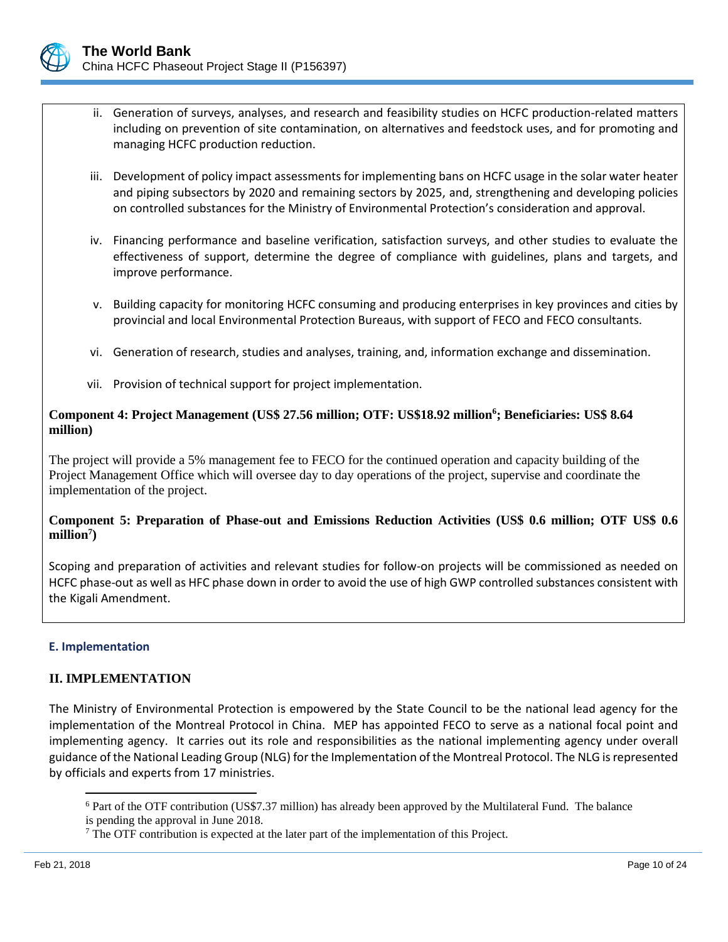

- ii. Generation of surveys, analyses, and research and feasibility studies on HCFC production-related matters including on prevention of site contamination, on alternatives and feedstock uses, and for promoting and managing HCFC production reduction.
- iii. Development of policy impact assessments for implementing bans on HCFC usage in the solar water heater and piping subsectors by 2020 and remaining sectors by 2025, and, strengthening and developing policies on controlled substances for the Ministry of Environmental Protection's consideration and approval.
- iv. Financing performance and baseline verification, satisfaction surveys, and other studies to evaluate the effectiveness of support, determine the degree of compliance with guidelines, plans and targets, and improve performance.
- v. Building capacity for monitoring HCFC consuming and producing enterprises in key provinces and cities by provincial and local Environmental Protection Bureaus, with support of FECO and FECO consultants.
- vi. Generation of research, studies and analyses, training, and, information exchange and dissemination.
- vii. Provision of technical support for project implementation.

# **Component 4: Project Management (US\$ 27.56 million; OTF: US\$18.92 million<sup>6</sup> ; Beneficiaries: US\$ 8.64 million)**

The project will provide a 5% management fee to FECO for the continued operation and capacity building of the Project Management Office which will oversee day to day operations of the project, supervise and coordinate the implementation of the project.

# **Component 5: Preparation of Phase-out and Emissions Reduction Activities (US\$ 0.6 million; OTF US\$ 0.6 million<sup>7</sup> )**

Scoping and preparation of activities and relevant studies for follow-on projects will be commissioned as needed on HCFC phase-out as well as HFC phase down in order to avoid the use of high GWP controlled substances consistent with the Kigali Amendment.

## **E. Implementation**

## **II. IMPLEMENTATION**

The Ministry of Environmental Protection is empowered by the State Council to be the national lead agency for the implementation of the Montreal Protocol in China. MEP has appointed FECO to serve as a national focal point and implementing agency. It carries out its role and responsibilities as the national implementing agency under overall guidance of the National Leading Group (NLG) for the Implementation of the Montreal Protocol. The NLG is represented by officials and experts from 17 ministries.

 $\overline{\phantom{a}}$ 

<sup>6</sup> Part of the OTF contribution (US\$7.37 million) has already been approved by the Multilateral Fund. The balance is pending the approval in June 2018.

 $<sup>7</sup>$  The OTF contribution is expected at the later part of the implementation of this Project.</sup>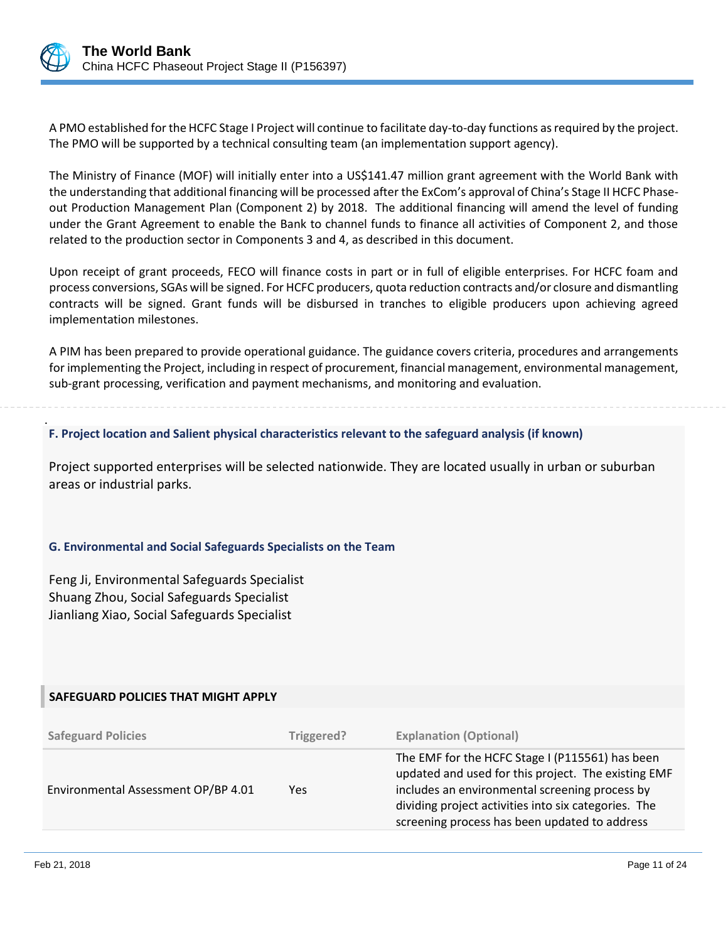

.

A PMO established for the HCFC Stage I Project will continue to facilitate day-to-day functions as required by the project. The PMO will be supported by a technical consulting team (an implementation support agency).

The Ministry of Finance (MOF) will initially enter into a US\$141.47 million grant agreement with the World Bank with the understanding that additional financing will be processed after the ExCom's approval of China's Stage II HCFC Phaseout Production Management Plan (Component 2) by 2018. The additional financing will amend the level of funding under the Grant Agreement to enable the Bank to channel funds to finance all activities of Component 2, and those related to the production sector in Components 3 and 4, as described in this document.

Upon receipt of grant proceeds, FECO will finance costs in part or in full of eligible enterprises. For HCFC foam and process conversions, SGAs will be signed. For HCFC producers, quota reduction contracts and/or closure and dismantling contracts will be signed. Grant funds will be disbursed in tranches to eligible producers upon achieving agreed implementation milestones.

A PIM has been prepared to provide operational guidance. The guidance covers criteria, procedures and arrangements for implementing the Project, including in respect of procurement, financial management, environmental management, sub-grant processing, verification and payment mechanisms, and monitoring and evaluation.

**F. Project location and Salient physical characteristics relevant to the safeguard analysis (if known)**

Project supported enterprises will be selected nationwide. They are located usually in urban or suburban areas or industrial parks.

## **G. Environmental and Social Safeguards Specialists on the Team**

Feng Ji, Environmental Safeguards Specialist Shuang Zhou, Social Safeguards Specialist Jianliang Xiao, Social Safeguards Specialist

## **SAFEGUARD POLICIES THAT MIGHT APPLY**

| <b>Safeguard Policies</b>           | Triggered? | <b>Explanation (Optional)</b>                                                                                                                                                                                                                                     |
|-------------------------------------|------------|-------------------------------------------------------------------------------------------------------------------------------------------------------------------------------------------------------------------------------------------------------------------|
| Environmental Assessment OP/BP 4.01 | Yes        | The EMF for the HCFC Stage I (P115561) has been<br>updated and used for this project. The existing EMF<br>includes an environmental screening process by<br>dividing project activities into six categories. The<br>screening process has been updated to address |
|                                     |            |                                                                                                                                                                                                                                                                   |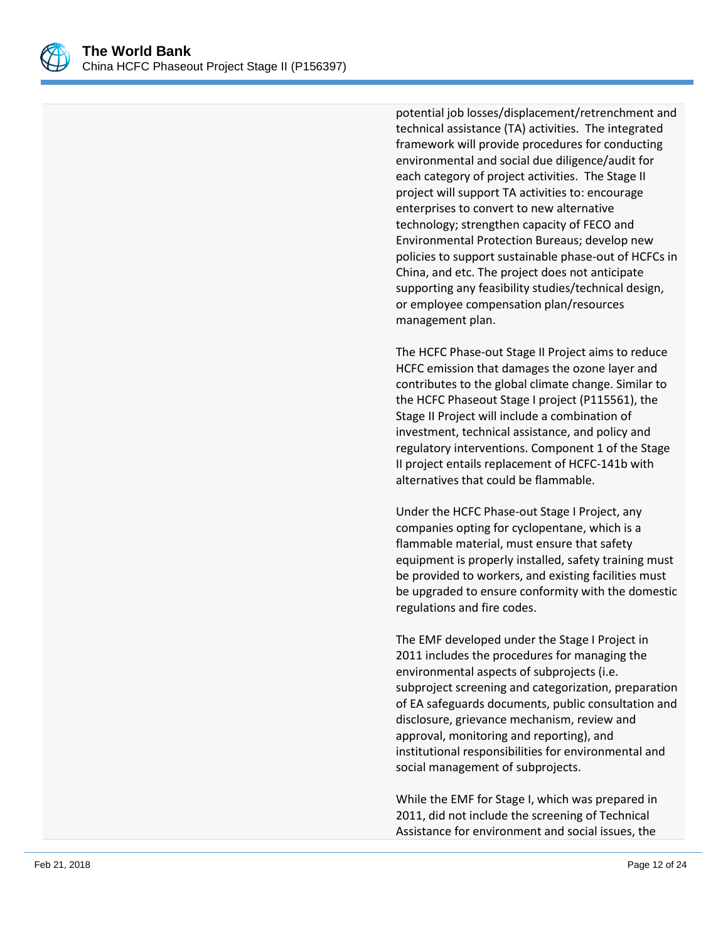

potential job losses/displacement/retrenchment and technical assistance (TA) activities. The integrated framework will provide procedures for conducting environmental and social due diligence/audit for each category of project activities. The Stage II project will support TA activities to: encourage enterprises to convert to new alternative technology; strengthen capacity of FECO and Environmental Protection Bureaus; develop new policies to support sustainable phase-out of HCFCs in China, and etc. The project does not anticipate supporting any feasibility studies/technical design, or employee compensation plan/resources management plan.

The HCFC Phase-out Stage II Project aims to reduce HCFC emission that damages the ozone layer and contributes to the global climate change. Similar to the HCFC Phaseout Stage I project (P115561), the Stage II Project will include a combination of investment, technical assistance, and policy and regulatory interventions. Component 1 of the Stage II project entails replacement of HCFC-141b with alternatives that could be flammable.

Under the HCFC Phase-out Stage I Project, any companies opting for cyclopentane, which is a flammable material, must ensure that safety equipment is properly installed, safety training must be provided to workers, and existing facilities must be upgraded to ensure conformity with the domestic regulations and fire codes.

The EMF developed under the Stage I Project in 2011 includes the procedures for managing the environmental aspects of subprojects (i.e. subproject screening and categorization, preparation of EA safeguards documents, public consultation and disclosure, grievance mechanism, review and approval, monitoring and reporting), and institutional responsibilities for environmental and social management of subprojects.

While the EMF for Stage I, which was prepared in 2011, did not include the screening of Technical Assistance for environment and social issues, the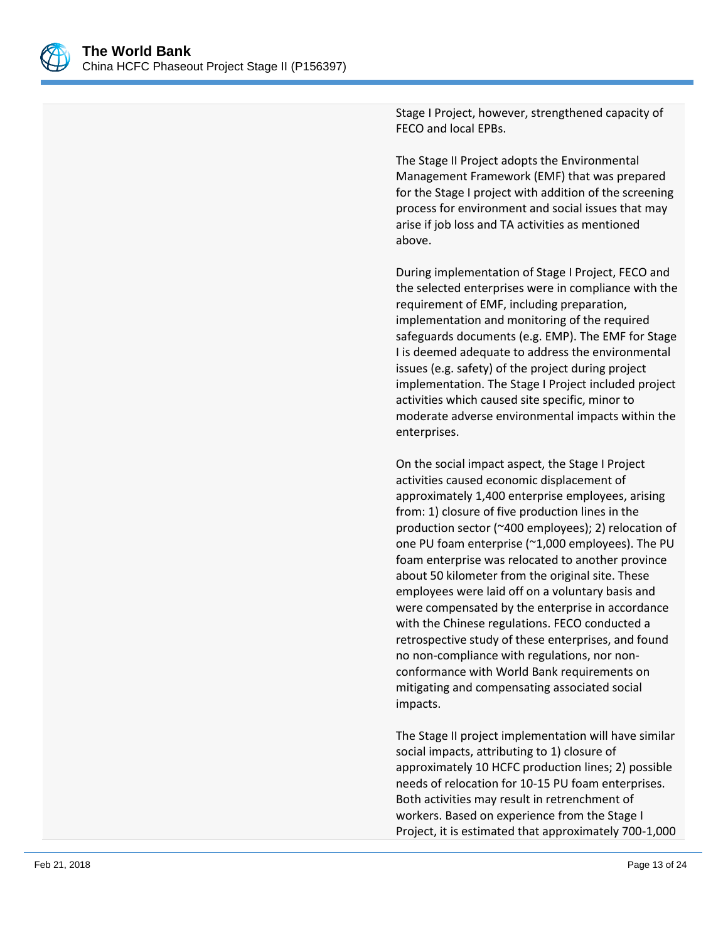

Stage I Project, however, strengthened capacity of FECO and local EPBs.

The Stage II Project adopts the Environmental Management Framework (EMF) that was prepared for the Stage I project with addition of the screening process for environment and social issues that may arise if job loss and TA activities as mentioned above.

During implementation of Stage I Project, FECO and the selected enterprises were in compliance with the requirement of EMF, including preparation, implementation and monitoring of the required safeguards documents (e.g. EMP). The EMF for Stage I is deemed adequate to address the environmental issues (e.g. safety) of the project during project implementation. The Stage I Project included project activities which caused site specific, minor to moderate adverse environmental impacts within the enterprises.

On the social impact aspect, the Stage I Project activities caused economic displacement of approximately 1,400 enterprise employees, arising from: 1) closure of five production lines in the production sector (~400 employees); 2) relocation of one PU foam enterprise (~1,000 employees). The PU foam enterprise was relocated to another province about 50 kilometer from the original site. These employees were laid off on a voluntary basis and were compensated by the enterprise in accordance with the Chinese regulations. FECO conducted a retrospective study of these enterprises, and found no non-compliance with regulations, nor nonconformance with World Bank requirements on mitigating and compensating associated social impacts.

The Stage II project implementation will have similar social impacts, attributing to 1) closure of approximately 10 HCFC production lines; 2) possible needs of relocation for 10-15 PU foam enterprises. Both activities may result in retrenchment of workers. Based on experience from the Stage I Project, it is estimated that approximately 700-1,000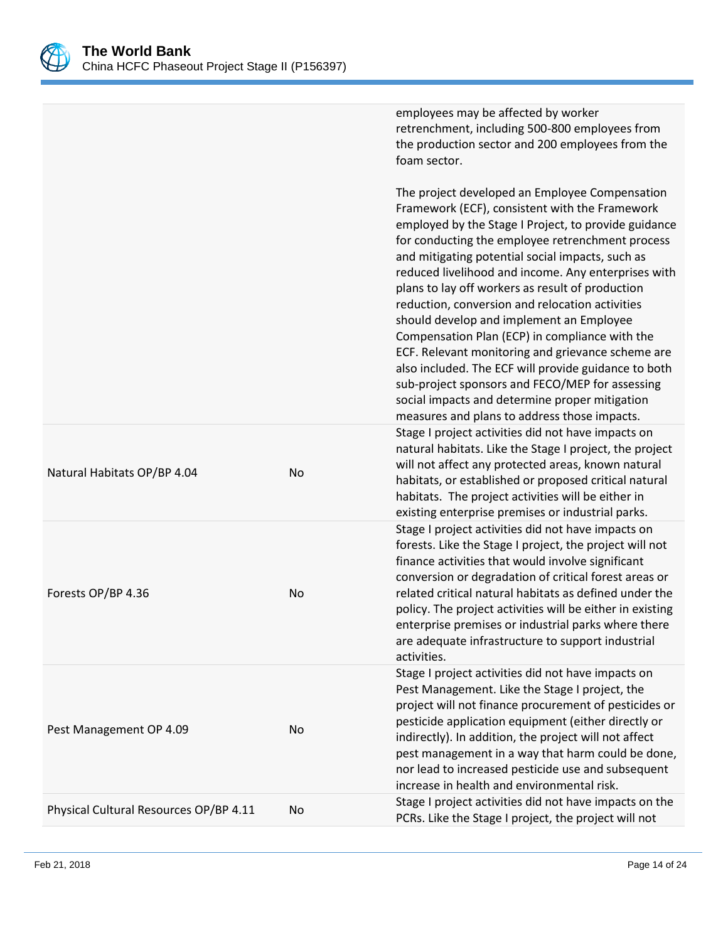

|                                        |    | employees may be affected by worker<br>retrenchment, including 500-800 employees from<br>the production sector and 200 employees from the<br>foam sector.                                                                                                                                                                                                                                                                                                                                                                                                                                                                                                                                                                                                                                      |
|----------------------------------------|----|------------------------------------------------------------------------------------------------------------------------------------------------------------------------------------------------------------------------------------------------------------------------------------------------------------------------------------------------------------------------------------------------------------------------------------------------------------------------------------------------------------------------------------------------------------------------------------------------------------------------------------------------------------------------------------------------------------------------------------------------------------------------------------------------|
|                                        |    | The project developed an Employee Compensation<br>Framework (ECF), consistent with the Framework<br>employed by the Stage I Project, to provide guidance<br>for conducting the employee retrenchment process<br>and mitigating potential social impacts, such as<br>reduced livelihood and income. Any enterprises with<br>plans to lay off workers as result of production<br>reduction, conversion and relocation activities<br>should develop and implement an Employee<br>Compensation Plan (ECP) in compliance with the<br>ECF. Relevant monitoring and grievance scheme are<br>also included. The ECF will provide guidance to both<br>sub-project sponsors and FECO/MEP for assessing<br>social impacts and determine proper mitigation<br>measures and plans to address those impacts. |
| Natural Habitats OP/BP 4.04            | No | Stage I project activities did not have impacts on<br>natural habitats. Like the Stage I project, the project<br>will not affect any protected areas, known natural<br>habitats, or established or proposed critical natural<br>habitats. The project activities will be either in<br>existing enterprise premises or industrial parks.                                                                                                                                                                                                                                                                                                                                                                                                                                                        |
| Forests OP/BP 4.36                     | No | Stage I project activities did not have impacts on<br>forests. Like the Stage I project, the project will not<br>finance activities that would involve significant<br>conversion or degradation of critical forest areas or<br>related critical natural habitats as defined under the<br>policy. The project activities will be either in existing<br>enterprise premises or industrial parks where there<br>are adequate infrastructure to support industrial<br>activities.                                                                                                                                                                                                                                                                                                                  |
| Pest Management OP 4.09                | No | Stage I project activities did not have impacts on<br>Pest Management. Like the Stage I project, the<br>project will not finance procurement of pesticides or<br>pesticide application equipment (either directly or<br>indirectly). In addition, the project will not affect<br>pest management in a way that harm could be done,<br>nor lead to increased pesticide use and subsequent<br>increase in health and environmental risk.                                                                                                                                                                                                                                                                                                                                                         |
| Physical Cultural Resources OP/BP 4.11 | No | Stage I project activities did not have impacts on the<br>PCRs. Like the Stage I project, the project will not                                                                                                                                                                                                                                                                                                                                                                                                                                                                                                                                                                                                                                                                                 |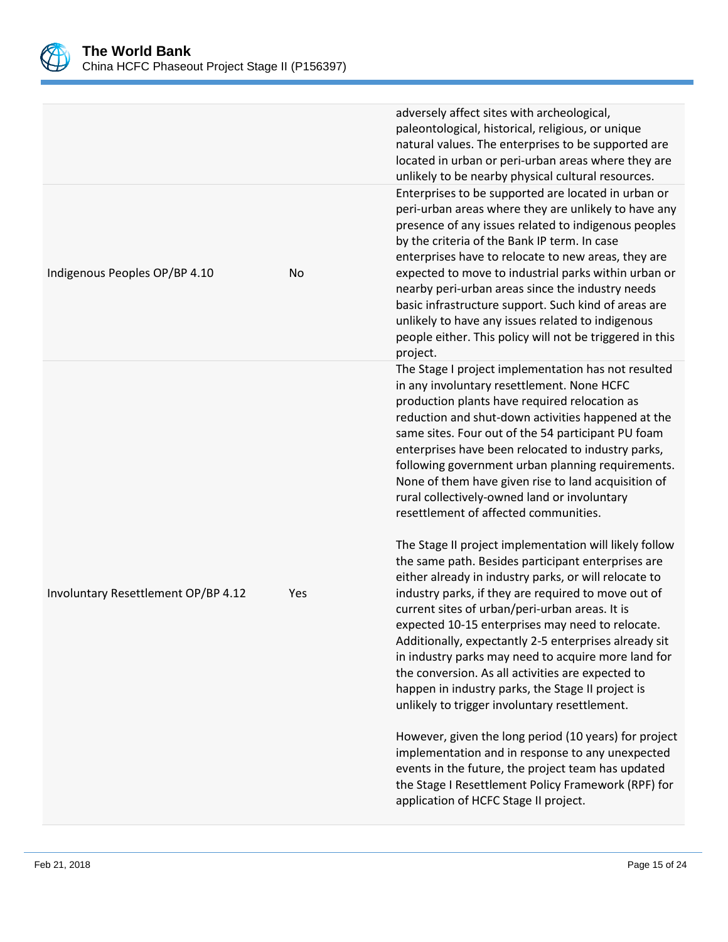

|                                     |     | adversely affect sites with archeological,<br>paleontological, historical, religious, or unique<br>natural values. The enterprises to be supported are<br>located in urban or peri-urban areas where they are<br>unlikely to be nearby physical cultural resources.                                                                                                                                                                                                                                                                                                                                           |
|-------------------------------------|-----|---------------------------------------------------------------------------------------------------------------------------------------------------------------------------------------------------------------------------------------------------------------------------------------------------------------------------------------------------------------------------------------------------------------------------------------------------------------------------------------------------------------------------------------------------------------------------------------------------------------|
| Indigenous Peoples OP/BP 4.10       | No  | Enterprises to be supported are located in urban or<br>peri-urban areas where they are unlikely to have any<br>presence of any issues related to indigenous peoples<br>by the criteria of the Bank IP term. In case<br>enterprises have to relocate to new areas, they are<br>expected to move to industrial parks within urban or<br>nearby peri-urban areas since the industry needs<br>basic infrastructure support. Such kind of areas are<br>unlikely to have any issues related to indigenous<br>people either. This policy will not be triggered in this<br>project.                                   |
|                                     |     | The Stage I project implementation has not resulted<br>in any involuntary resettlement. None HCFC<br>production plants have required relocation as<br>reduction and shut-down activities happened at the<br>same sites. Four out of the 54 participant PU foam<br>enterprises have been relocated to industry parks,<br>following government urban planning requirements.<br>None of them have given rise to land acquisition of<br>rural collectively-owned land or involuntary<br>resettlement of affected communities.                                                                                     |
| Involuntary Resettlement OP/BP 4.12 | Yes | The Stage II project implementation will likely follow<br>the same path. Besides participant enterprises are<br>either already in industry parks, or will relocate to<br>industry parks, if they are required to move out of<br>current sites of urban/peri-urban areas. It is<br>expected 10-15 enterprises may need to relocate.<br>Additionally, expectantly 2-5 enterprises already sit<br>in industry parks may need to acquire more land for<br>the conversion. As all activities are expected to<br>happen in industry parks, the Stage II project is<br>unlikely to trigger involuntary resettlement. |
|                                     |     | However, given the long period (10 years) for project<br>implementation and in response to any unexpected<br>events in the future, the project team has updated<br>the Stage I Resettlement Policy Framework (RPF) for<br>application of HCFC Stage II project.                                                                                                                                                                                                                                                                                                                                               |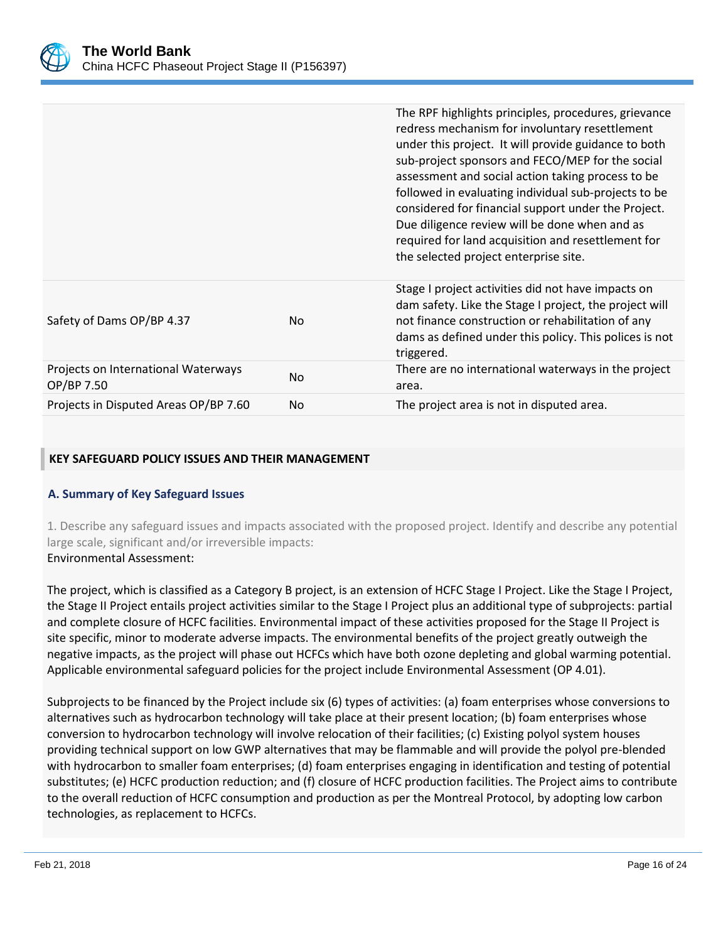

|                                                   |                | The RPF highlights principles, procedures, grievance<br>redress mechanism for involuntary resettlement<br>under this project. It will provide guidance to both<br>sub-project sponsors and FECO/MEP for the social<br>assessment and social action taking process to be<br>followed in evaluating individual sub-projects to be<br>considered for financial support under the Project.<br>Due diligence review will be done when and as<br>required for land acquisition and resettlement for<br>the selected project enterprise site. |
|---------------------------------------------------|----------------|----------------------------------------------------------------------------------------------------------------------------------------------------------------------------------------------------------------------------------------------------------------------------------------------------------------------------------------------------------------------------------------------------------------------------------------------------------------------------------------------------------------------------------------|
| Safety of Dams OP/BP 4.37                         | No.            | Stage I project activities did not have impacts on<br>dam safety. Like the Stage I project, the project will<br>not finance construction or rehabilitation of any<br>dams as defined under this policy. This polices is not<br>triggered.                                                                                                                                                                                                                                                                                              |
| Projects on International Waterways<br>OP/BP 7.50 | N <sub>o</sub> | There are no international waterways in the project<br>area.                                                                                                                                                                                                                                                                                                                                                                                                                                                                           |
| Projects in Disputed Areas OP/BP 7.60             | No.            | The project area is not in disputed area.                                                                                                                                                                                                                                                                                                                                                                                                                                                                                              |

#### **KEY SAFEGUARD POLICY ISSUES AND THEIR MANAGEMENT**

## **A. Summary of Key Safeguard Issues**

1. Describe any safeguard issues and impacts associated with the proposed project. Identify and describe any potential large scale, significant and/or irreversible impacts: Environmental Assessment:

The project, which is classified as a Category B project, is an extension of HCFC Stage I Project. Like the Stage I Project, the Stage II Project entails project activities similar to the Stage I Project plus an additional type of subprojects: partial and complete closure of HCFC facilities. Environmental impact of these activities proposed for the Stage II Project is site specific, minor to moderate adverse impacts. The environmental benefits of the project greatly outweigh the negative impacts, as the project will phase out HCFCs which have both ozone depleting and global warming potential. Applicable environmental safeguard policies for the project include Environmental Assessment (OP 4.01).

Subprojects to be financed by the Project include six (6) types of activities: (a) foam enterprises whose conversions to alternatives such as hydrocarbon technology will take place at their present location; (b) foam enterprises whose conversion to hydrocarbon technology will involve relocation of their facilities; (c) Existing polyol system houses providing technical support on low GWP alternatives that may be flammable and will provide the polyol pre-blended with hydrocarbon to smaller foam enterprises; (d) foam enterprises engaging in identification and testing of potential substitutes; (e) HCFC production reduction; and (f) closure of HCFC production facilities. The Project aims to contribute to the overall reduction of HCFC consumption and production as per the Montreal Protocol, by adopting low carbon technologies, as replacement to HCFCs.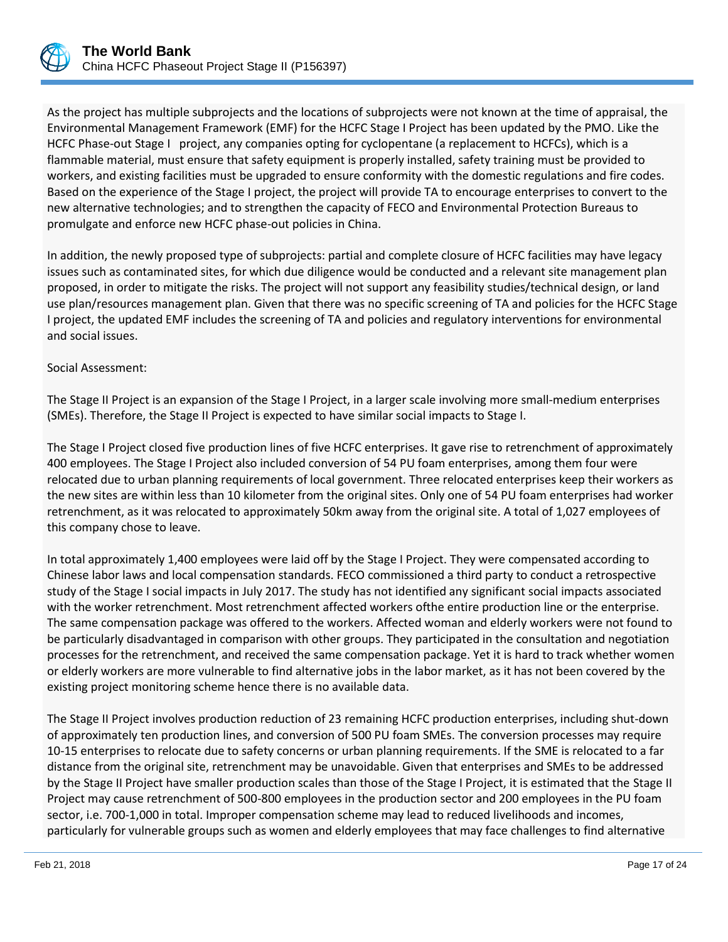

As the project has multiple subprojects and the locations of subprojects were not known at the time of appraisal, the Environmental Management Framework (EMF) for the HCFC Stage I Project has been updated by the PMO. Like the HCFC Phase-out Stage I project, any companies opting for cyclopentane (a replacement to HCFCs), which is a flammable material, must ensure that safety equipment is properly installed, safety training must be provided to workers, and existing facilities must be upgraded to ensure conformity with the domestic regulations and fire codes. Based on the experience of the Stage I project, the project will provide TA to encourage enterprises to convert to the new alternative technologies; and to strengthen the capacity of FECO and Environmental Protection Bureaus to promulgate and enforce new HCFC phase-out policies in China.

In addition, the newly proposed type of subprojects: partial and complete closure of HCFC facilities may have legacy issues such as contaminated sites, for which due diligence would be conducted and a relevant site management plan proposed, in order to mitigate the risks. The project will not support any feasibility studies/technical design, or land use plan/resources management plan. Given that there was no specific screening of TA and policies for the HCFC Stage I project, the updated EMF includes the screening of TA and policies and regulatory interventions for environmental and social issues.

## Social Assessment:

The Stage II Project is an expansion of the Stage I Project, in a larger scale involving more small-medium enterprises (SMEs). Therefore, the Stage II Project is expected to have similar social impacts to Stage I.

The Stage I Project closed five production lines of five HCFC enterprises. It gave rise to retrenchment of approximately 400 employees. The Stage I Project also included conversion of 54 PU foam enterprises, among them four were relocated due to urban planning requirements of local government. Three relocated enterprises keep their workers as the new sites are within less than 10 kilometer from the original sites. Only one of 54 PU foam enterprises had worker retrenchment, as it was relocated to approximately 50km away from the original site. A total of 1,027 employees of this company chose to leave.

In total approximately 1,400 employees were laid off by the Stage I Project. They were compensated according to Chinese labor laws and local compensation standards. FECO commissioned a third party to conduct a retrospective study of the Stage I social impacts in July 2017. The study has not identified any significant social impacts associated with the worker retrenchment. Most retrenchment affected workers ofthe entire production line or the enterprise. The same compensation package was offered to the workers. Affected woman and elderly workers were not found to be particularly disadvantaged in comparison with other groups. They participated in the consultation and negotiation processes for the retrenchment, and received the same compensation package. Yet it is hard to track whether women or elderly workers are more vulnerable to find alternative jobs in the labor market, as it has not been covered by the existing project monitoring scheme hence there is no available data.

The Stage II Project involves production reduction of 23 remaining HCFC production enterprises, including shut-down of approximately ten production lines, and conversion of 500 PU foam SMEs. The conversion processes may require 10-15 enterprises to relocate due to safety concerns or urban planning requirements. If the SME is relocated to a far distance from the original site, retrenchment may be unavoidable. Given that enterprises and SMEs to be addressed by the Stage II Project have smaller production scales than those of the Stage I Project, it is estimated that the Stage II Project may cause retrenchment of 500-800 employees in the production sector and 200 employees in the PU foam sector, i.e. 700-1,000 in total. Improper compensation scheme may lead to reduced livelihoods and incomes, particularly for vulnerable groups such as women and elderly employees that may face challenges to find alternative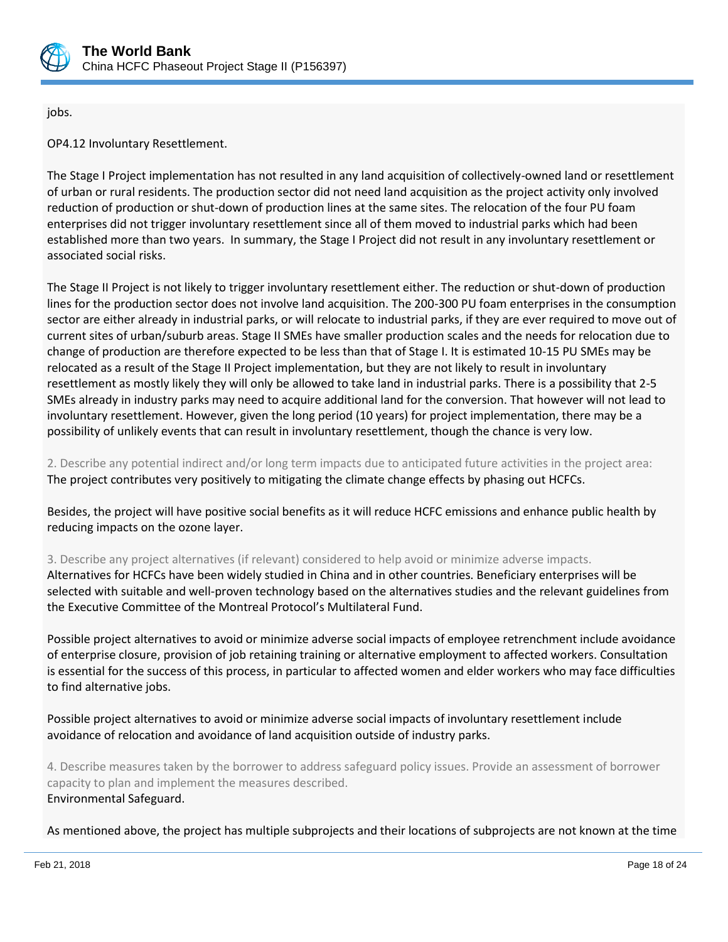

jobs.

OP4.12 Involuntary Resettlement.

The Stage I Project implementation has not resulted in any land acquisition of collectively-owned land or resettlement of urban or rural residents. The production sector did not need land acquisition as the project activity only involved reduction of production or shut-down of production lines at the same sites. The relocation of the four PU foam enterprises did not trigger involuntary resettlement since all of them moved to industrial parks which had been established more than two years. In summary, the Stage I Project did not result in any involuntary resettlement or associated social risks.

The Stage II Project is not likely to trigger involuntary resettlement either. The reduction or shut-down of production lines for the production sector does not involve land acquisition. The 200-300 PU foam enterprises in the consumption sector are either already in industrial parks, or will relocate to industrial parks, if they are ever required to move out of current sites of urban/suburb areas. Stage II SMEs have smaller production scales and the needs for relocation due to change of production are therefore expected to be less than that of Stage I. It is estimated 10-15 PU SMEs may be relocated as a result of the Stage II Project implementation, but they are not likely to result in involuntary resettlement as mostly likely they will only be allowed to take land in industrial parks. There is a possibility that 2-5 SMEs already in industry parks may need to acquire additional land for the conversion. That however will not lead to involuntary resettlement. However, given the long period (10 years) for project implementation, there may be a possibility of unlikely events that can result in involuntary resettlement, though the chance is very low.

2. Describe any potential indirect and/or long term impacts due to anticipated future activities in the project area: The project contributes very positively to mitigating the climate change effects by phasing out HCFCs.

Besides, the project will have positive social benefits as it will reduce HCFC emissions and enhance public health by reducing impacts on the ozone layer.

3. Describe any project alternatives (if relevant) considered to help avoid or minimize adverse impacts. Alternatives for HCFCs have been widely studied in China and in other countries. Beneficiary enterprises will be selected with suitable and well-proven technology based on the alternatives studies and the relevant guidelines from the Executive Committee of the Montreal Protocol's Multilateral Fund.

Possible project alternatives to avoid or minimize adverse social impacts of employee retrenchment include avoidance of enterprise closure, provision of job retaining training or alternative employment to affected workers. Consultation is essential for the success of this process, in particular to affected women and elder workers who may face difficulties to find alternative jobs.

Possible project alternatives to avoid or minimize adverse social impacts of involuntary resettlement include avoidance of relocation and avoidance of land acquisition outside of industry parks.

4. Describe measures taken by the borrower to address safeguard policy issues. Provide an assessment of borrower capacity to plan and implement the measures described. Environmental Safeguard.

As mentioned above, the project has multiple subprojects and their locations of subprojects are not known at the time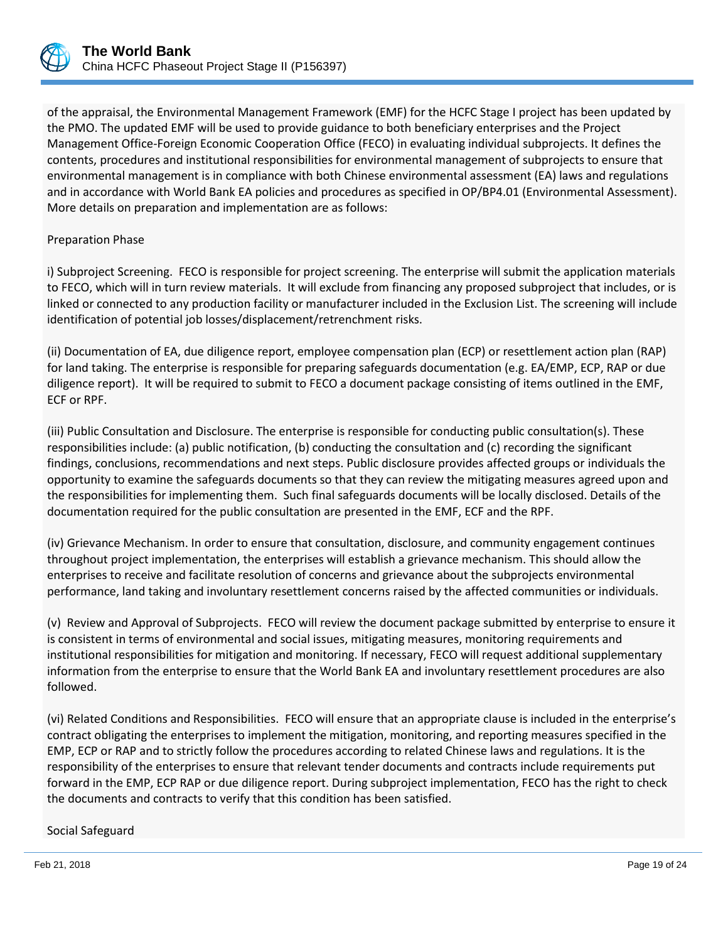

of the appraisal, the Environmental Management Framework (EMF) for the HCFC Stage I project has been updated by the PMO. The updated EMF will be used to provide guidance to both beneficiary enterprises and the Project Management Office-Foreign Economic Cooperation Office (FECO) in evaluating individual subprojects. It defines the contents, procedures and institutional responsibilities for environmental management of subprojects to ensure that environmental management is in compliance with both Chinese environmental assessment (EA) laws and regulations and in accordance with World Bank EA policies and procedures as specified in OP/BP4.01 (Environmental Assessment). More details on preparation and implementation are as follows:

#### Preparation Phase

i) Subproject Screening. FECO is responsible for project screening. The enterprise will submit the application materials to FECO, which will in turn review materials. It will exclude from financing any proposed subproject that includes, or is linked or connected to any production facility or manufacturer included in the Exclusion List. The screening will include identification of potential job losses/displacement/retrenchment risks.

(ii) Documentation of EA, due diligence report, employee compensation plan (ECP) or resettlement action plan (RAP) for land taking. The enterprise is responsible for preparing safeguards documentation (e.g. EA/EMP, ECP, RAP or due diligence report). It will be required to submit to FECO a document package consisting of items outlined in the EMF, ECF or RPF.

(iii) Public Consultation and Disclosure. The enterprise is responsible for conducting public consultation(s). These responsibilities include: (a) public notification, (b) conducting the consultation and (c) recording the significant findings, conclusions, recommendations and next steps. Public disclosure provides affected groups or individuals the opportunity to examine the safeguards documents so that they can review the mitigating measures agreed upon and the responsibilities for implementing them. Such final safeguards documents will be locally disclosed. Details of the documentation required for the public consultation are presented in the EMF, ECF and the RPF.

(iv) Grievance Mechanism. In order to ensure that consultation, disclosure, and community engagement continues throughout project implementation, the enterprises will establish a grievance mechanism. This should allow the enterprises to receive and facilitate resolution of concerns and grievance about the subprojects environmental performance, land taking and involuntary resettlement concerns raised by the affected communities or individuals.

(v) Review and Approval of Subprojects. FECO will review the document package submitted by enterprise to ensure it is consistent in terms of environmental and social issues, mitigating measures, monitoring requirements and institutional responsibilities for mitigation and monitoring. If necessary, FECO will request additional supplementary information from the enterprise to ensure that the World Bank EA and involuntary resettlement procedures are also followed.

(vi) Related Conditions and Responsibilities. FECO will ensure that an appropriate clause is included in the enterprise's contract obligating the enterprises to implement the mitigation, monitoring, and reporting measures specified in the EMP, ECP or RAP and to strictly follow the procedures according to related Chinese laws and regulations. It is the responsibility of the enterprises to ensure that relevant tender documents and contracts include requirements put forward in the EMP, ECP RAP or due diligence report. During subproject implementation, FECO has the right to check the documents and contracts to verify that this condition has been satisfied.

Social Safeguard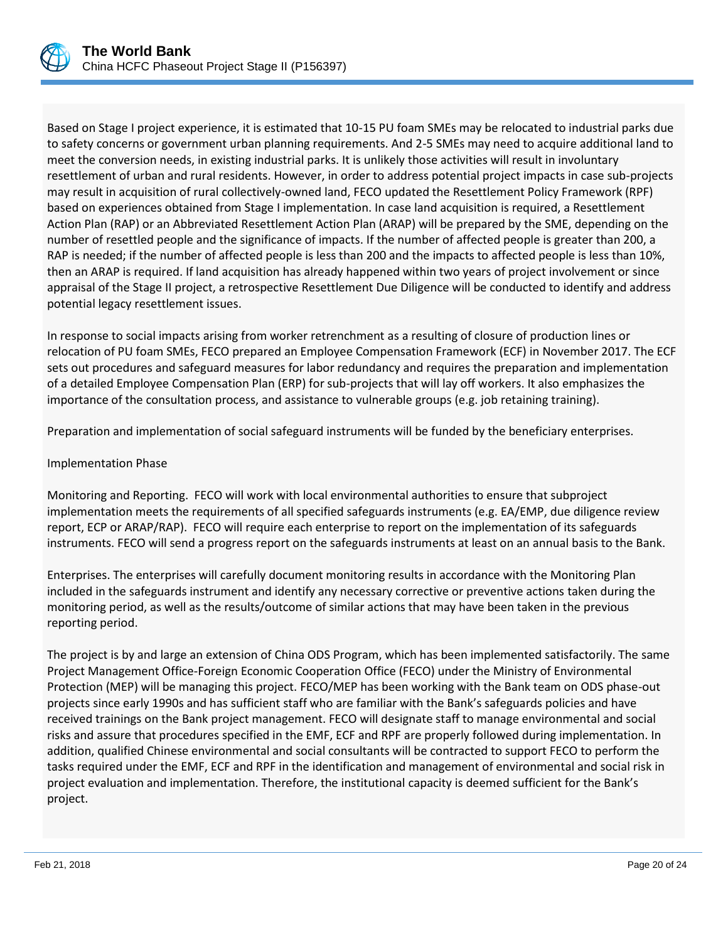

Based on Stage I project experience, it is estimated that 10-15 PU foam SMEs may be relocated to industrial parks due to safety concerns or government urban planning requirements. And 2-5 SMEs may need to acquire additional land to meet the conversion needs, in existing industrial parks. It is unlikely those activities will result in involuntary resettlement of urban and rural residents. However, in order to address potential project impacts in case sub-projects may result in acquisition of rural collectively-owned land, FECO updated the Resettlement Policy Framework (RPF) based on experiences obtained from Stage I implementation. In case land acquisition is required, a Resettlement Action Plan (RAP) or an Abbreviated Resettlement Action Plan (ARAP) will be prepared by the SME, depending on the number of resettled people and the significance of impacts. If the number of affected people is greater than 200, a RAP is needed; if the number of affected people is less than 200 and the impacts to affected people is less than 10%, then an ARAP is required. If land acquisition has already happened within two years of project involvement or since appraisal of the Stage II project, a retrospective Resettlement Due Diligence will be conducted to identify and address potential legacy resettlement issues.

In response to social impacts arising from worker retrenchment as a resulting of closure of production lines or relocation of PU foam SMEs, FECO prepared an Employee Compensation Framework (ECF) in November 2017. The ECF sets out procedures and safeguard measures for labor redundancy and requires the preparation and implementation of a detailed Employee Compensation Plan (ERP) for sub-projects that will lay off workers. It also emphasizes the importance of the consultation process, and assistance to vulnerable groups (e.g. job retaining training).

Preparation and implementation of social safeguard instruments will be funded by the beneficiary enterprises.

# Implementation Phase

Monitoring and Reporting. FECO will work with local environmental authorities to ensure that subproject implementation meets the requirements of all specified safeguards instruments (e.g. EA/EMP, due diligence review report, ECP or ARAP/RAP). FECO will require each enterprise to report on the implementation of its safeguards instruments. FECO will send a progress report on the safeguards instruments at least on an annual basis to the Bank.

Enterprises. The enterprises will carefully document monitoring results in accordance with the Monitoring Plan included in the safeguards instrument and identify any necessary corrective or preventive actions taken during the monitoring period, as well as the results/outcome of similar actions that may have been taken in the previous reporting period.

The project is by and large an extension of China ODS Program, which has been implemented satisfactorily. The same Project Management Office-Foreign Economic Cooperation Office (FECO) under the Ministry of Environmental Protection (MEP) will be managing this project. FECO/MEP has been working with the Bank team on ODS phase-out projects since early 1990s and has sufficient staff who are familiar with the Bank's safeguards policies and have received trainings on the Bank project management. FECO will designate staff to manage environmental and social risks and assure that procedures specified in the EMF, ECF and RPF are properly followed during implementation. In addition, qualified Chinese environmental and social consultants will be contracted to support FECO to perform the tasks required under the EMF, ECF and RPF in the identification and management of environmental and social risk in project evaluation and implementation. Therefore, the institutional capacity is deemed sufficient for the Bank's project.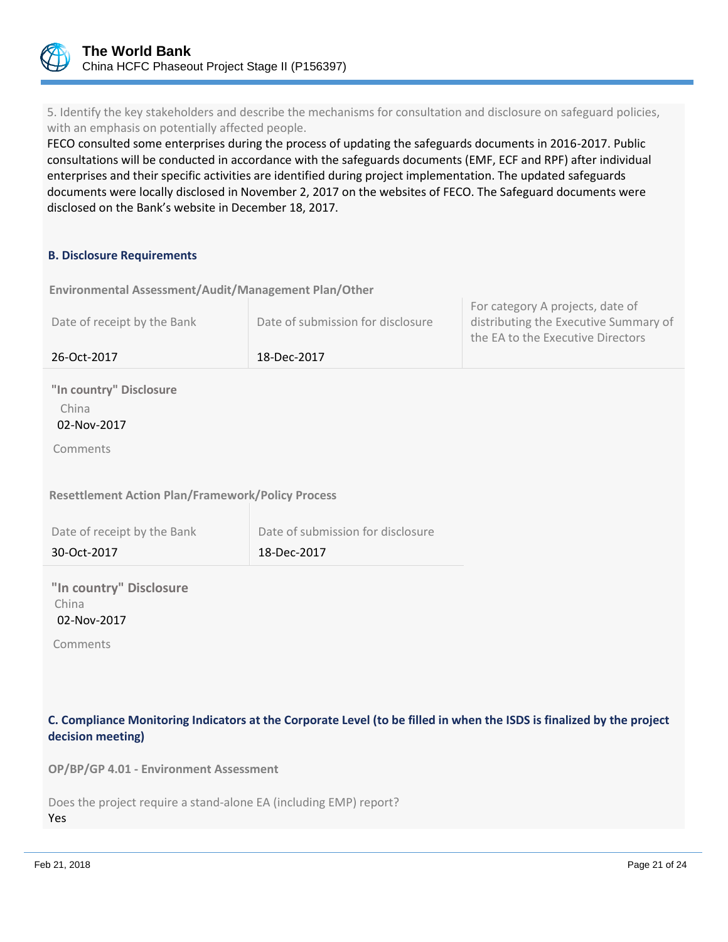

5. Identify the key stakeholders and describe the mechanisms for consultation and disclosure on safeguard policies, with an emphasis on potentially affected people.

FECO consulted some enterprises during the process of updating the safeguards documents in 2016-2017. Public consultations will be conducted in accordance with the safeguards documents (EMF, ECF and RPF) after individual enterprises and their specific activities are identified during project implementation. The updated safeguards documents were locally disclosed in November 2, 2017 on the websites of FECO. The Safeguard documents were disclosed on the Bank's website in December 18, 2017.

#### **B. Disclosure Requirements**

**Environmental Assessment/Audit/Management Plan/Other** 

| Date of receipt by the Bank | Date of submission for disclosure | For category A projects, date of<br>distributing the Executive Summary of<br>the EA to the Executive Directors |
|-----------------------------|-----------------------------------|----------------------------------------------------------------------------------------------------------------|
| 26-Oct-2017                 | 18-Dec-2017                       |                                                                                                                |

**"In country" Disclosure** China 02-Nov-2017

Comments

**Resettlement Action Plan/Framework/Policy Process**

| Date of receipt by the Bank | Date of submission for disclosure |
|-----------------------------|-----------------------------------|
| 30-Oct-2017                 | 18-Dec-2017                       |

**"In country" Disclosure** China 02-Nov-2017

Comments

**C. Compliance Monitoring Indicators at the Corporate Level (to be filled in when the ISDS is finalized by the project decision meeting)** 

**OP/BP/GP 4.01 - Environment Assessment** 

|     |  |  | Does the project require a stand-alone EA (including EMP) report? |  |
|-----|--|--|-------------------------------------------------------------------|--|
| Yes |  |  |                                                                   |  |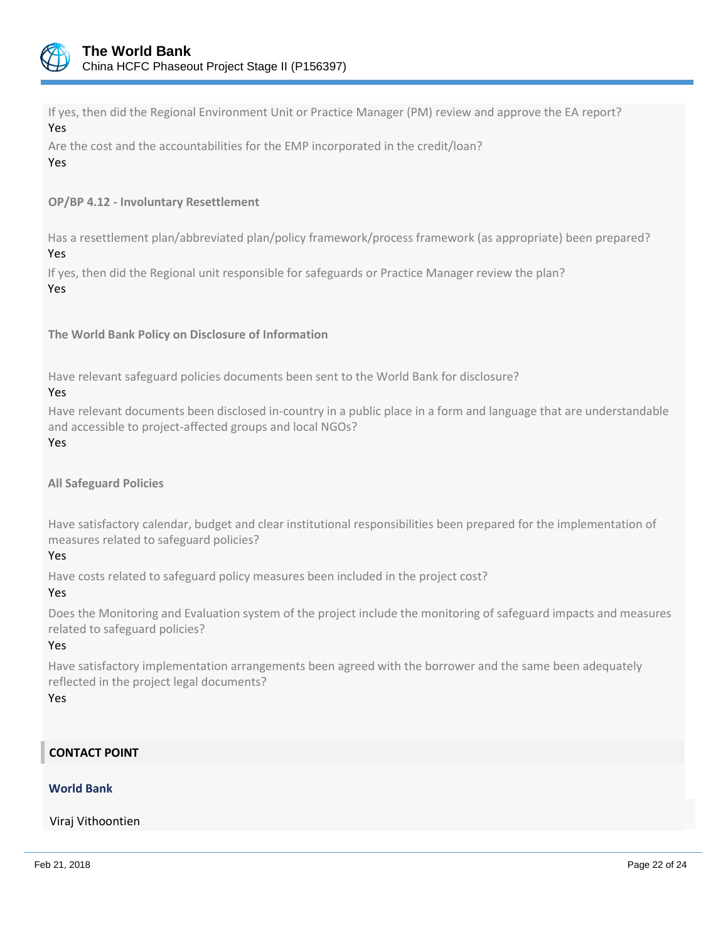

If yes, then did the Regional Environment Unit or Practice Manager (PM) review and approve the EA report? Yes

Are the cost and the accountabilities for the EMP incorporated in the credit/loan? Yes

**OP/BP 4.12 - Involuntary Resettlement**

Has a resettlement plan/abbreviated plan/policy framework/process framework (as appropriate) been prepared? Yes

If yes, then did the Regional unit responsible for safeguards or Practice Manager review the plan? Yes

**The World Bank Policy on Disclosure of Information**

Have relevant safeguard policies documents been sent to the World Bank for disclosure?

#### Yes

Have relevant documents been disclosed in-country in a public place in a form and language that are understandable and accessible to project-affected groups and local NGOs?

Yes

**All Safeguard Policies**

Have satisfactory calendar, budget and clear institutional responsibilities been prepared for the implementation of measures related to safeguard policies?

# Yes

Have costs related to safeguard policy measures been included in the project cost?

## Yes

Does the Monitoring and Evaluation system of the project include the monitoring of safeguard impacts and measures related to safeguard policies?

# Yes

Have satisfactory implementation arrangements been agreed with the borrower and the same been adequately reflected in the project legal documents?

Yes

# **CONTACT POINT**

# **World Bank**

Viraj Vithoontien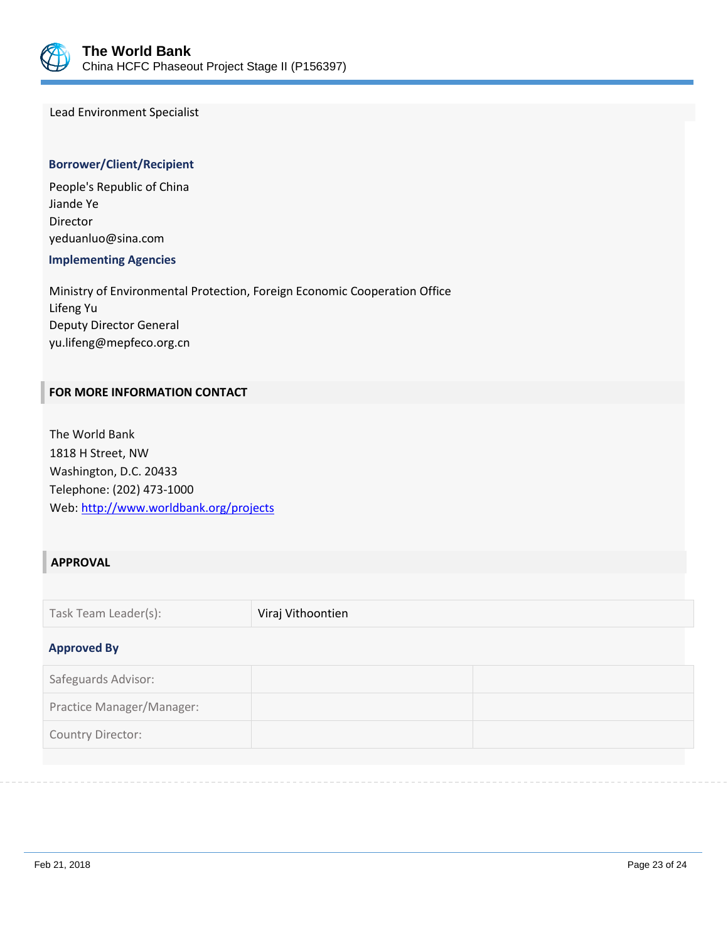

Lead Environment Specialist

## **Borrower/Client/Recipient**

People's Republic of China Jiande Ye Director yeduanluo@sina.com

 **Implementing Agencies**

Ministry of Environmental Protection, Foreign Economic Cooperation Office Lifeng Yu Deputy Director General yu.lifeng@mepfeco.org.cn

## **FOR MORE INFORMATION CONTACT**

The World Bank 1818 H Street, NW Washington, D.C. 20433 Telephone: (202) 473-1000 Web:<http://www.worldbank.org/projects>

## **APPROVAL**

| Task Team Leader(s): | Viraj Vithoontien |
|----------------------|-------------------|
|                      |                   |

## **Approved By**

| Safeguards Advisor:       |  |
|---------------------------|--|
| Practice Manager/Manager: |  |
| Country Director:         |  |